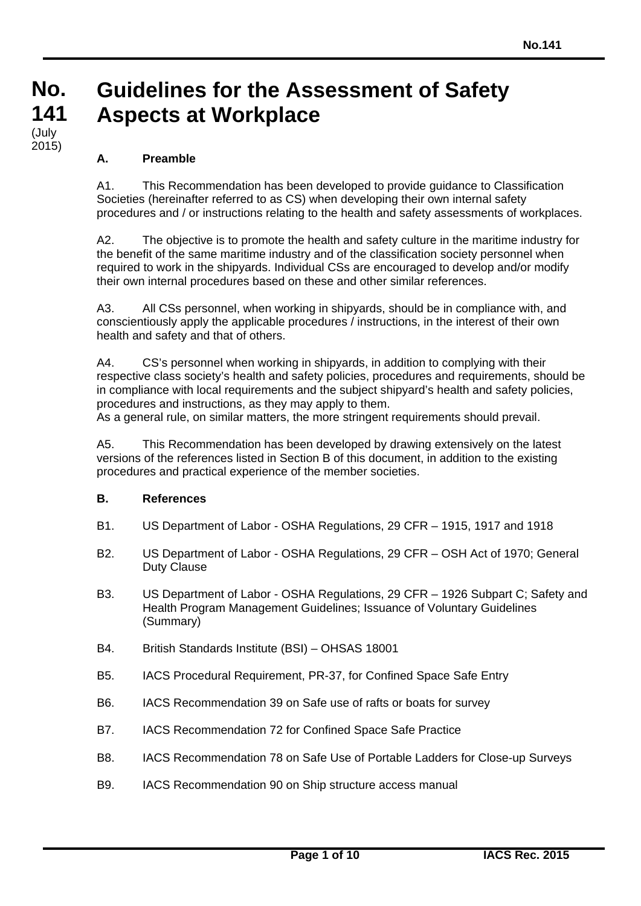#### **No. No. 141 141 Guidelines for the Assessment of Safety Aspects at Workplace** (July

# **A. Preamble**

رتاب)<br>2015)

A1. This Recommendation has been developed to provide guidance to Classification Societies (hereinafter referred to as CS) when developing their own internal safety procedures and / or instructions relating to the health and safety assessments of workplaces.

A2. The objective is to promote the health and safety culture in the maritime industry for the benefit of the same maritime industry and of the classification society personnel when required to work in the shipyards. Individual CSs are encouraged to develop and/or modify their own internal procedures based on these and other similar references.

A3. All CSs personnel, when working in shipyards, should be in compliance with, and conscientiously apply the applicable procedures / instructions, in the interest of their own health and safety and that of others.

A4. CS's personnel when working in shipyards, in addition to complying with their respective class society's health and safety policies, procedures and requirements, should be in compliance with local requirements and the subject shipyard's health and safety policies, procedures and instructions, as they may apply to them.

As a general rule, on similar matters, the more stringent requirements should prevail.

A5. This Recommendation has been developed by drawing extensively on the latest versions of the references listed in Section B of this document, in addition to the existing procedures and practical experience of the member societies.

# **B. References**

- B1. US Department of Labor OSHA Regulations, 29 CFR 1915, 1917 and 1918
- B2. US Department of Labor OSHA Regulations, 29 CFR OSH Act of 1970; General Duty Clause
- B3. US Department of Labor OSHA Regulations, 29 CFR 1926 Subpart C; Safety and Health Program Management Guidelines; Issuance of Voluntary Guidelines (Summary)
- B4. British Standards Institute (BSI) OHSAS 18001
- B5. IACS Procedural Requirement, PR-37, for Confined Space Safe Entry
- B6. IACS Recommendation 39 on Safe use of rafts or boats for survey
- B7. IACS Recommendation 72 for Confined Space Safe Practice
- B8. IACS Recommendation 78 on Safe Use of Portable Ladders for Close-up Surveys
- B9. IACS Recommendation 90 on Ship structure access manual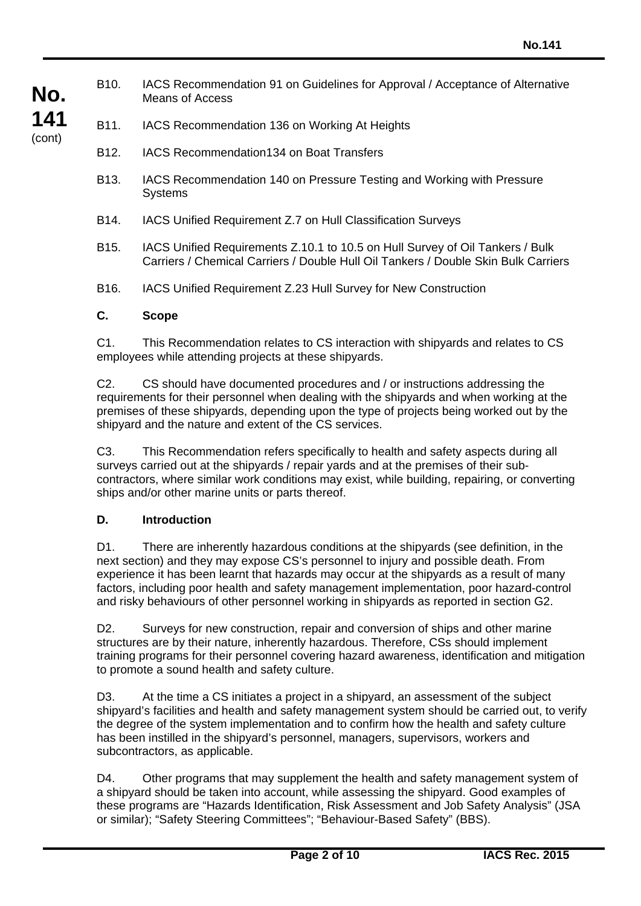B10. IACS Recommendation 91 on Guidelines for Approval / Acceptance of Alternative Means of Access

- B12. IACS Recommendation134 on Boat Transfers
- B13. IACS Recommendation 140 on Pressure Testing and Working with Pressure **Systems**
- B14. IACS Unified Requirement Z.7 on Hull Classification Surveys
- B15. IACS Unified Requirements Z.10.1 to 10.5 on Hull Survey of Oil Tankers / Bulk Carriers / Chemical Carriers / Double Hull Oil Tankers / Double Skin Bulk Carriers
- B16. IACS Unified Requirement Z.23 Hull Survey for New Construction

#### **C. Scope**

**No.**

**141** (cont)

> C1. This Recommendation relates to CS interaction with shipyards and relates to CS employees while attending projects at these shipyards.

> C2. CS should have documented procedures and / or instructions addressing the requirements for their personnel when dealing with the shipyards and when working at the premises of these shipyards, depending upon the type of projects being worked out by the shipyard and the nature and extent of the CS services.

C3. This Recommendation refers specifically to health and safety aspects during all surveys carried out at the shipyards / repair yards and at the premises of their subcontractors, where similar work conditions may exist, while building, repairing, or converting ships and/or other marine units or parts thereof.

#### **D. Introduction**

D1. There are inherently hazardous conditions at the shipyards (see definition, in the next section) and they may expose CS's personnel to injury and possible death. From experience it has been learnt that hazards may occur at the shipyards as a result of many factors, including poor health and safety management implementation, poor hazard-control and risky behaviours of other personnel working in shipyards as reported in section G2.

D2. Surveys for new construction, repair and conversion of ships and other marine structures are by their nature, inherently hazardous. Therefore, CSs should implement training programs for their personnel covering hazard awareness, identification and mitigation to promote a sound health and safety culture.

D3. At the time a CS initiates a project in a shipyard, an assessment of the subject shipyard's facilities and health and safety management system should be carried out, to verify the degree of the system implementation and to confirm how the health and safety culture has been instilled in the shipyard's personnel, managers, supervisors, workers and subcontractors, as applicable.

D4. Other programs that may supplement the health and safety management system of a shipyard should be taken into account, while assessing the shipyard. Good examples of these programs are "Hazards Identification, Risk Assessment and Job Safety Analysis" (JSA or similar); "Safety Steering Committees"; "Behaviour-Based Safety" (BBS).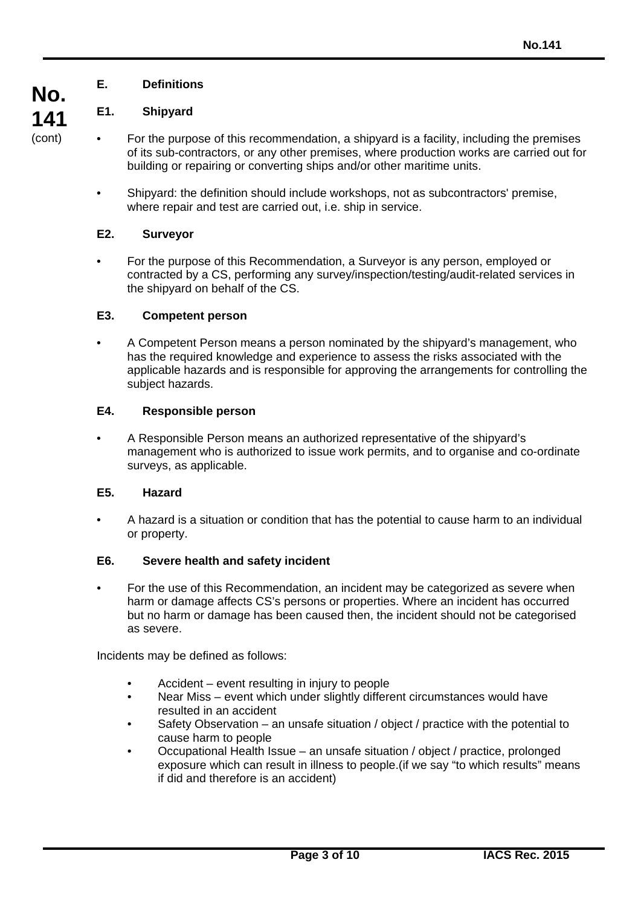# **E. Definitions**

# **E1. Shipyard**

**No.**

**141** (cont)

- For the purpose of this recommendation, a shipyard is a facility, including the premises of its sub-contractors, or any other premises, where production works are carried out for building or repairing or converting ships and/or other maritime units.
	- Shipyard: the definition should include workshops, not as subcontractors' premise, where repair and test are carried out, i.e. ship in service.

# **E2. Surveyor**

• For the purpose of this Recommendation, a Surveyor is any person, employed or contracted by a CS, performing any survey/inspection/testing/audit-related services in the shipyard on behalf of the CS.

# **E3. Competent person**

• A Competent Person means a person nominated by the shipyard's management, who has the required knowledge and experience to assess the risks associated with the applicable hazards and is responsible for approving the arrangements for controlling the subject hazards.

# **E4. Responsible person**

• A Responsible Person means an authorized representative of the shipyard's management who is authorized to issue work permits, and to organise and co-ordinate surveys, as applicable.

# **E5. Hazard**

• A hazard is a situation or condition that has the potential to cause harm to an individual or property.

# **E6. Severe health and safety incident**

• For the use of this Recommendation, an incident may be categorized as severe when harm or damage affects CS's persons or properties. Where an incident has occurred but no harm or damage has been caused then, the incident should not be categorised as severe.

Incidents may be defined as follows:

- Accident event resulting in injury to people
- Near Miss event which under slightly different circumstances would have resulted in an accident
- Safety Observation an unsafe situation / object / practice with the potential to cause harm to people
- Occupational Health Issue an unsafe situation / object / practice, prolonged exposure which can result in illness to people.(if we say "to which results" means if did and therefore is an accident)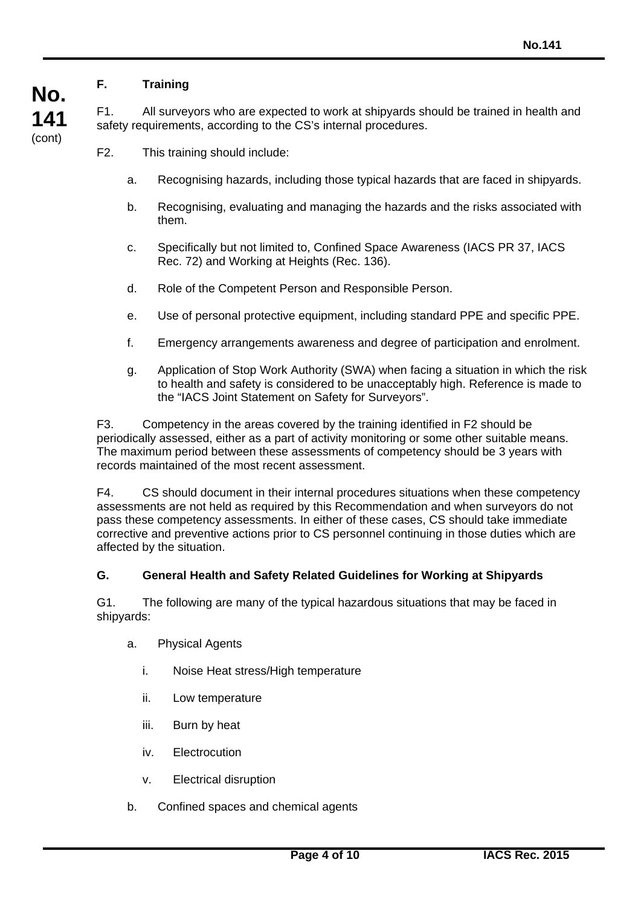# **F. Training**

**No.**

**141** (cont)

F1. All surveyors who are expected to work at shipyards should be trained in health and safety requirements, according to the CS's internal procedures.

- F2. This training should include:
	- a. Recognising hazards, including those typical hazards that are faced in shipyards.
	- b. Recognising, evaluating and managing the hazards and the risks associated with them.
	- c. Specifically but not limited to, Confined Space Awareness (IACS PR 37, IACS Rec. 72) and Working at Heights (Rec. 136).
	- d. Role of the Competent Person and Responsible Person.
	- e. Use of personal protective equipment, including standard PPE and specific PPE.
	- f. Emergency arrangements awareness and degree of participation and enrolment.
	- g. Application of Stop Work Authority (SWA) when facing a situation in which the risk to health and safety is considered to be unacceptably high. Reference is made to the "IACS Joint Statement on Safety for Surveyors".

F3. Competency in the areas covered by the training identified in F2 should be periodically assessed, either as a part of activity monitoring or some other suitable means. The maximum period between these assessments of competency should be 3 years with records maintained of the most recent assessment.

F4. CS should document in their internal procedures situations when these competency assessments are not held as required by this Recommendation and when surveyors do not pass these competency assessments. In either of these cases, CS should take immediate corrective and preventive actions prior to CS personnel continuing in those duties which are affected by the situation.

#### **G. General Health and Safety Related Guidelines for Working at Shipyards**

G1. The following are many of the typical hazardous situations that may be faced in shipyards:

- a. Physical Agents
	- i. Noise Heat stress/High temperature
	- ii. Low temperature
	- iii. Burn by heat
	- iv. Electrocution
	- v. Electrical disruption
- b. Confined spaces and chemical agents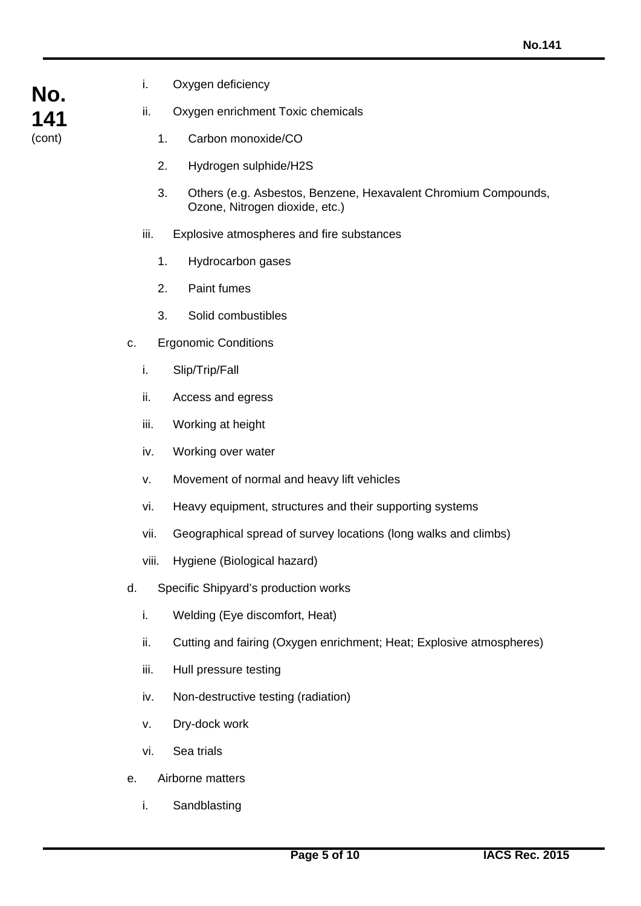- **No. 141** (cont)
- i. Oxygen deficiency

ii. Oxygen enrichment Toxic chemicals

- 1. Carbon monoxide/CO
- 2. Hydrogen sulphide/H2S
- 3. Others (e.g. Asbestos, Benzene, Hexavalent Chromium Compounds, Ozone, Nitrogen dioxide, etc.)
- iii. Explosive atmospheres and fire substances
	- 1. Hydrocarbon gases
	- 2. Paint fumes
	- 3. Solid combustibles
- c. Ergonomic Conditions
	- i. Slip/Trip/Fall
	- ii. Access and egress
	- iii. Working at height
	- iv. Working over water
	- v. Movement of normal and heavy lift vehicles
	- vi. Heavy equipment, structures and their supporting systems
	- vii. Geographical spread of survey locations (long walks and climbs)
	- viii. Hygiene (Biological hazard)
- d. Specific Shipyard's production works
	- i. Welding (Eye discomfort, Heat)
	- ii. Cutting and fairing (Oxygen enrichment; Heat; Explosive atmospheres)
	- iii. Hull pressure testing
	- iv. Non-destructive testing (radiation)
	- v. Dry-dock work
	- vi. Sea trials
- e. Airborne matters
	- i. Sandblasting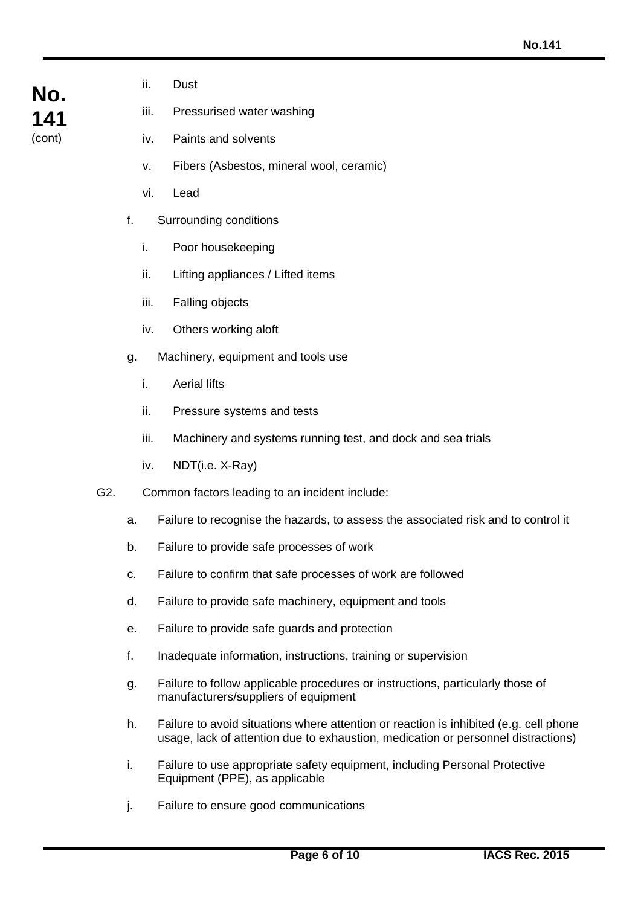ii. Dust

iii. Pressurised water washing

- iv. Paints and solvents
- v. Fibers (Asbestos, mineral wool, ceramic)
- vi. Lead
- f. Surrounding conditions
	- i. Poor housekeeping
	- ii. Lifting appliances / Lifted items
	- iii. Falling objects
	- iv. Others working aloft
- g. Machinery, equipment and tools use
	- i. Aerial lifts
	- ii. Pressure systems and tests
	- iii. Machinery and systems running test, and dock and sea trials
	- iv. NDT(i.e. X-Ray)
- G2. Common factors leading to an incident include:
	- a. Failure to recognise the hazards, to assess the associated risk and to control it
	- b. Failure to provide safe processes of work
	- c. Failure to confirm that safe processes of work are followed
	- d. Failure to provide safe machinery, equipment and tools
	- e. Failure to provide safe guards and protection
	- f. Inadequate information, instructions, training or supervision
	- g. Failure to follow applicable procedures or instructions, particularly those of manufacturers/suppliers of equipment
	- h. Failure to avoid situations where attention or reaction is inhibited (e.g. cell phone usage, lack of attention due to exhaustion, medication or personnel distractions)
	- i. Failure to use appropriate safety equipment, including Personal Protective Equipment (PPE), as applicable
	- j. Failure to ensure good communications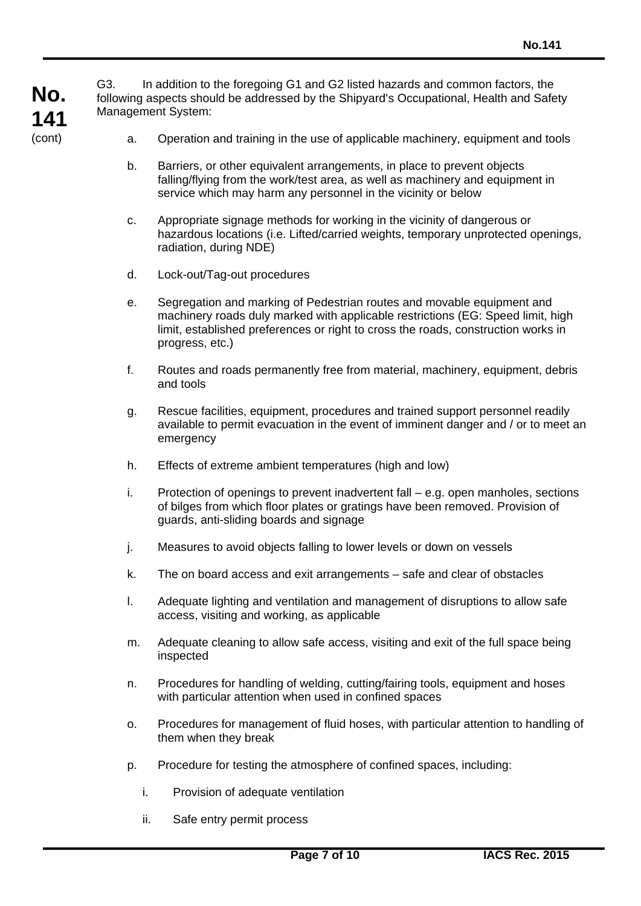**No. 141** G3. In addition to the foregoing G1 and G2 listed hazards and common factors, the following aspects should be addressed by the Shipyard's Occupational, Health and Safety Management System:

- a. Operation and training in the use of applicable machinery, equipment and tools
- b. Barriers, or other equivalent arrangements, in place to prevent objects falling/flying from the work/test area, as well as machinery and equipment in service which may harm any personnel in the vicinity or below
- c. Appropriate signage methods for working in the vicinity of dangerous or hazardous locations (i.e. Lifted/carried weights, temporary unprotected openings, radiation, during NDE)
- d. Lock-out/Tag-out procedures

(cont)

- e. Segregation and marking of Pedestrian routes and movable equipment and machinery roads duly marked with applicable restrictions (EG: Speed limit, high limit, established preferences or right to cross the roads, construction works in progress, etc.)
- f. Routes and roads permanently free from material, machinery, equipment, debris and tools
- g. Rescue facilities, equipment, procedures and trained support personnel readily available to permit evacuation in the event of imminent danger and / or to meet an emergency
- h. Effects of extreme ambient temperatures (high and low)
- i. Protection of openings to prevent inadvertent fall e.g. open manholes, sections of bilges from which floor plates or gratings have been removed. Provision of guards, anti-sliding boards and signage
- j. Measures to avoid objects falling to lower levels or down on vessels
- k. The on board access and exit arrangements safe and clear of obstacles
- l. Adequate lighting and ventilation and management of disruptions to allow safe access, visiting and working, as applicable
- m. Adequate cleaning to allow safe access, visiting and exit of the full space being inspected
- n. Procedures for handling of welding, cutting/fairing tools, equipment and hoses with particular attention when used in confined spaces
- o. Procedures for management of fluid hoses, with particular attention to handling of them when they break
- p. Procedure for testing the atmosphere of confined spaces, including:
	- i. Provision of adequate ventilation
	- ii. Safe entry permit process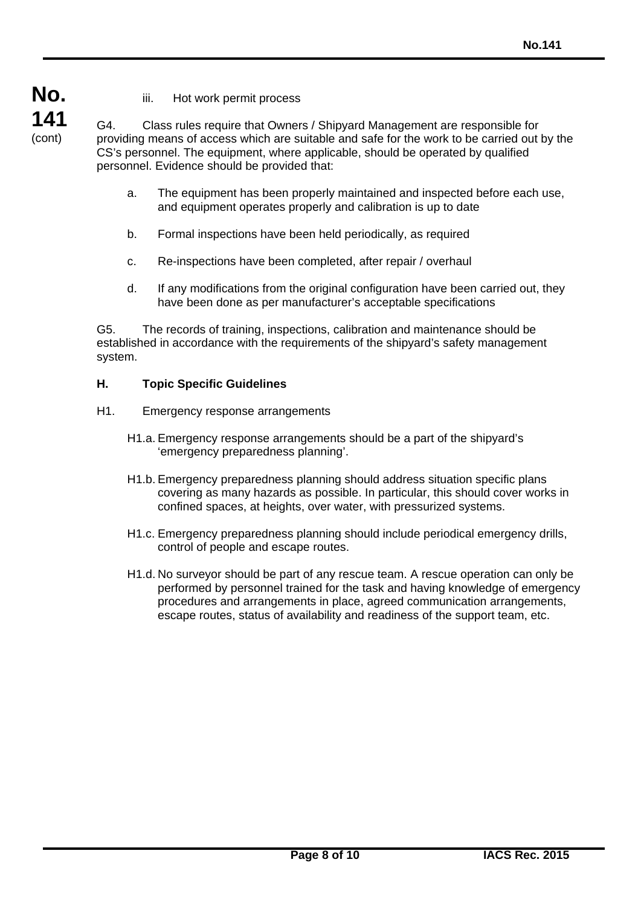- **No. 141** (cont)
- iii. Hot work permit process

G4. Class rules require that Owners / Shipyard Management are responsible for providing means of access which are suitable and safe for the work to be carried out by the CS's personnel. The equipment, where applicable, should be operated by qualified personnel. Evidence should be provided that:

- a. The equipment has been properly maintained and inspected before each use, and equipment operates properly and calibration is up to date
- b. Formal inspections have been held periodically, as required
- c. Re-inspections have been completed, after repair / overhaul
- d. If any modifications from the original configuration have been carried out, they have been done as per manufacturer's acceptable specifications

G5. The records of training, inspections, calibration and maintenance should be established in accordance with the requirements of the shipyard's safety management system.

# **H. Topic Specific Guidelines**

- H1. Emergency response arrangements
	- H1.a. Emergency response arrangements should be a part of the shipyard's 'emergency preparedness planning'.
	- H1.b. Emergency preparedness planning should address situation specific plans covering as many hazards as possible. In particular, this should cover works in confined spaces, at heights, over water, with pressurized systems.
	- H1.c. Emergency preparedness planning should include periodical emergency drills, control of people and escape routes.
	- H1.d. No surveyor should be part of any rescue team. A rescue operation can only be performed by personnel trained for the task and having knowledge of emergency procedures and arrangements in place, agreed communication arrangements, escape routes, status of availability and readiness of the support team, etc.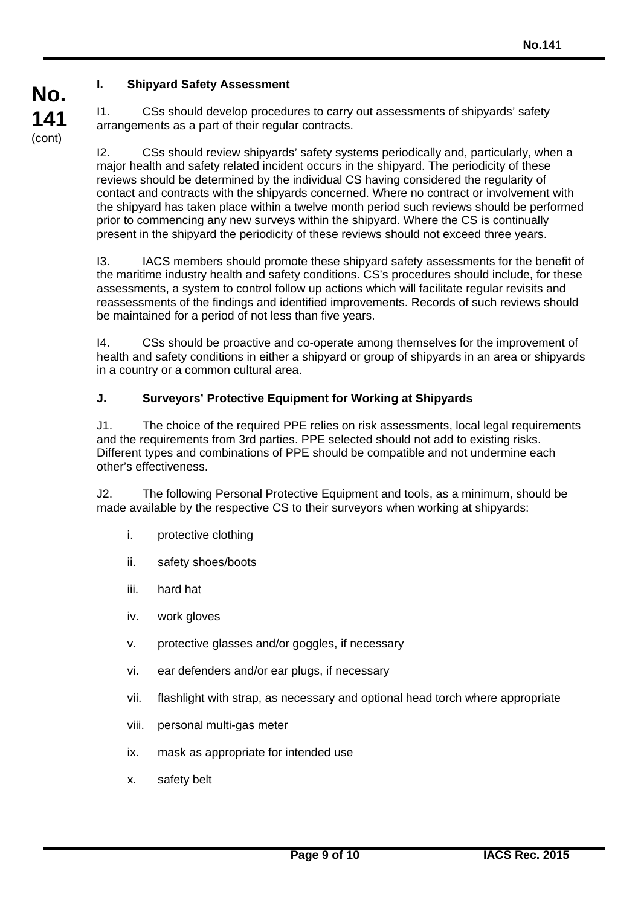# **I. Shipyard Safety Assessment**

**No.**

**141** (cont)

I1. CSs should develop procedures to carry out assessments of shipyards' safety arrangements as a part of their regular contracts.

I2. CSs should review shipyards' safety systems periodically and, particularly, when a major health and safety related incident occurs in the shipyard. The periodicity of these reviews should be determined by the individual CS having considered the regularity of contact and contracts with the shipyards concerned. Where no contract or involvement with the shipyard has taken place within a twelve month period such reviews should be performed prior to commencing any new surveys within the shipyard. Where the CS is continually present in the shipyard the periodicity of these reviews should not exceed three years.

I3. IACS members should promote these shipyard safety assessments for the benefit of the maritime industry health and safety conditions. CS's procedures should include, for these assessments, a system to control follow up actions which will facilitate regular revisits and reassessments of the findings and identified improvements. Records of such reviews should be maintained for a period of not less than five years.

I4. CSs should be proactive and co-operate among themselves for the improvement of health and safety conditions in either a shipyard or group of shipyards in an area or shipyards in a country or a common cultural area.

# **J. Surveyors' Protective Equipment for Working at Shipyards**

J1. The choice of the required PPE relies on risk assessments, local legal requirements and the requirements from 3rd parties. PPE selected should not add to existing risks. Different types and combinations of PPE should be compatible and not undermine each other's effectiveness.

J2. The following Personal Protective Equipment and tools, as a minimum, should be made available by the respective CS to their surveyors when working at shipyards:

- i. protective clothing
- ii. safety shoes/boots
- iii. hard hat
- iv. work gloves
- v. protective glasses and/or goggles, if necessary
- vi. ear defenders and/or ear plugs, if necessary
- vii. flashlight with strap, as necessary and optional head torch where appropriate
- viii. personal multi-gas meter
- ix. mask as appropriate for intended use
- x. safety belt